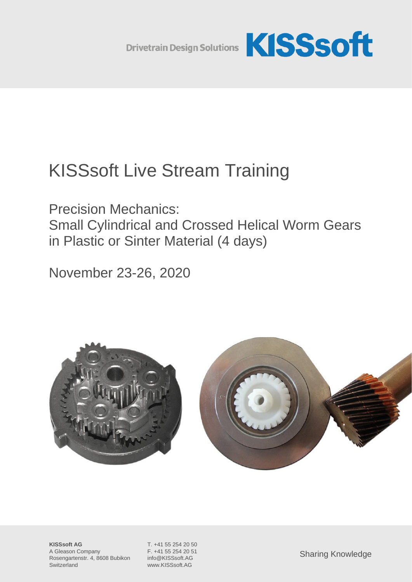

# KISSsoft Live Stream Training

Precision Mechanics: Small Cylindrical and Crossed Helical Worm Gears in Plastic or Sinter Material (4 days)

November 23-26, 2020



**KISSsoft AG** T. +41 55 254 20 50 A Gleason Company F. +41 55 254 20 51 Rosengartenstr. 4, 8608 Bubikon info@KISSsoft.AG Switzerland www.KISSsoft.AG

Sharing Knowledge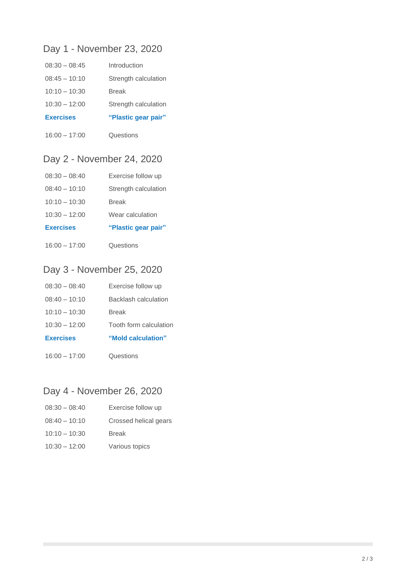## Day 1 - November 23, 2020

| $08:30 - 08:45$  | Introduction         |
|------------------|----------------------|
| $08:45 - 10:10$  | Strength calculation |
| $10:10 - 10:30$  | <b>Break</b>         |
| $10:30 - 12:00$  | Strength calculation |
| <b>Exercises</b> | "Plastic gear pair"  |
| $16:00 - 17:00$  | Questions            |

16:00 – 17:00

## Day 2 - November 24, 2020

| <b>Exercises</b> | "Plastic gear pair"  |
|------------------|----------------------|
| $10:30 - 12:00$  | Wear calculation     |
| $10:10 - 10:30$  | <b>Break</b>         |
| $08:40 - 10:10$  | Strength calculation |
| $08:30 - 08:40$  | Exercise follow up   |

16:00 – 17:00 **Questions** 

## Day 3 - November 25, 2020

| $16:00 - 17:00$  | Questions              |
|------------------|------------------------|
| <b>Exercises</b> | "Mold calculation"     |
| $10:30 - 12:00$  | Tooth form calculation |
| $10:10 - 10:30$  | <b>Break</b>           |
| $08:40 - 10:10$  | Backlash calculation   |
| $08:30 - 08:40$  | Exercise follow up     |

## Day 4 - November 26, 2020

| $08:30 - 08:40$ | Exercise follow up    |
|-----------------|-----------------------|
| $08:40 - 10:10$ | Crossed helical gears |
| $10:10 - 10:30$ | <b>Break</b>          |
| $10:30 - 12:00$ | Various topics        |